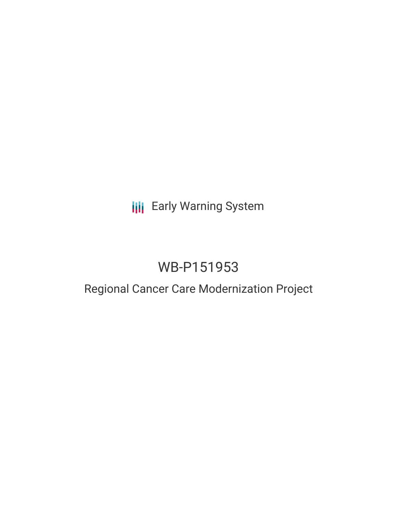# **III** Early Warning System

# WB-P151953

### Regional Cancer Care Modernization Project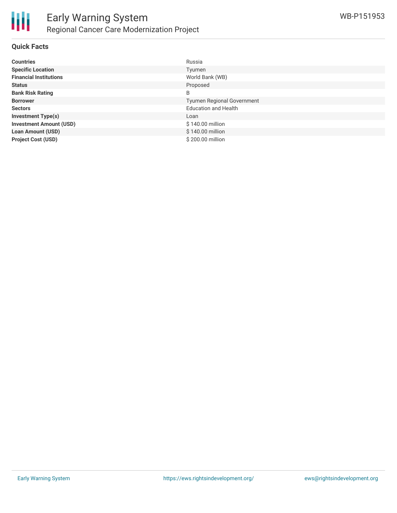

#### **Quick Facts**

| <b>Countries</b>               | Russia                            |
|--------------------------------|-----------------------------------|
| <b>Specific Location</b>       | Tyumen                            |
| <b>Financial Institutions</b>  | World Bank (WB)                   |
| <b>Status</b>                  | Proposed                          |
| <b>Bank Risk Rating</b>        | B                                 |
| <b>Borrower</b>                | <b>Tyumen Regional Government</b> |
| <b>Sectors</b>                 | <b>Education and Health</b>       |
| <b>Investment Type(s)</b>      | Loan                              |
| <b>Investment Amount (USD)</b> | \$140.00 million                  |
| <b>Loan Amount (USD)</b>       | \$140.00 million                  |
| <b>Project Cost (USD)</b>      | \$200,00 million                  |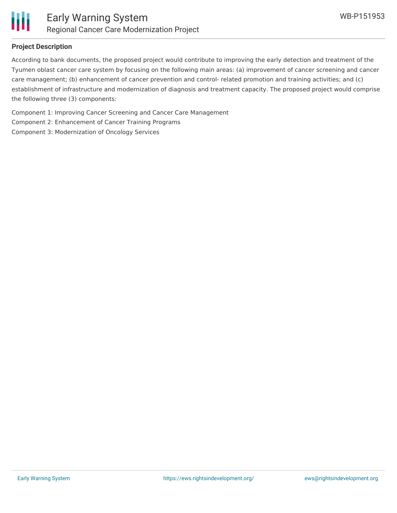

#### **Project Description**

According to bank documents, the proposed project would contribute to improving the early detection and treatment of the Tyumen oblast cancer care system by focusing on the following main areas: (a) improvement of cancer screening and cancer care management; (b) enhancement of cancer prevention and control- related promotion and training activities; and (c) establishment of infrastructure and modernization of diagnosis and treatment capacity. The proposed project would comprise the following three (3) components:

Component 1: Improving Cancer Screening and Cancer Care Management Component 2: Enhancement of Cancer Training Programs Component 3: Modernization of Oncology Services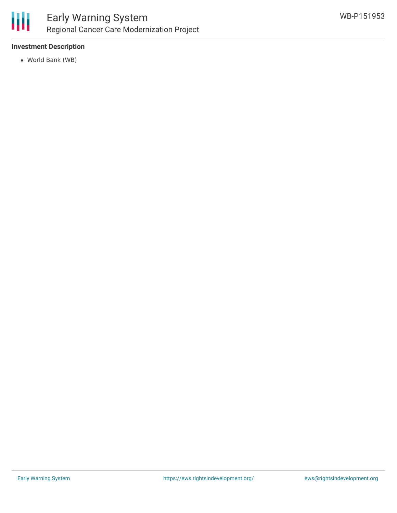

#### **Investment Description**

World Bank (WB)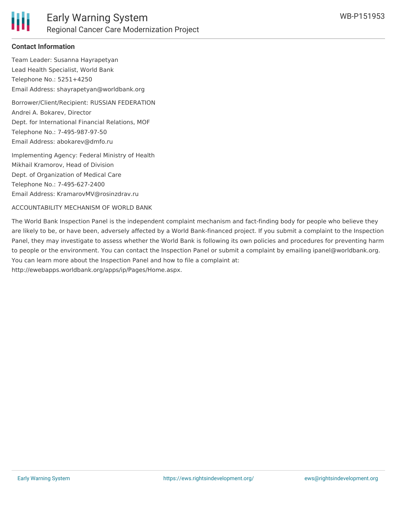

#### **Contact Information**

Team Leader: Susanna Hayrapetyan Lead Health Specialist, World Bank Telephone No.: 5251+4250 Email Address: shayrapetyan@worldbank.org

Borrower/Client/Recipient: RUSSIAN FEDERATION Andrei A. Bokarev, Director Dept. for International Financial Relations, MOF Telephone No.: 7-495-987-97-50 Email Address: abokarev@dmfo.ru

Implementing Agency: Federal Ministry of Health Mikhail Kramorov, Head of Division Dept. of Organization of Medical Care Telephone No.: 7-495-627-2400 Email Address: KramarovMV@rosinzdrav.ru

ACCOUNTABILITY MECHANISM OF WORLD BANK

The World Bank Inspection Panel is the independent complaint mechanism and fact-finding body for people who believe they are likely to be, or have been, adversely affected by a World Bank-financed project. If you submit a complaint to the Inspection Panel, they may investigate to assess whether the World Bank is following its own policies and procedures for preventing harm to people or the environment. You can contact the Inspection Panel or submit a complaint by emailing ipanel@worldbank.org. You can learn more about the Inspection Panel and how to file a complaint at: http://ewebapps.worldbank.org/apps/ip/Pages/Home.aspx.